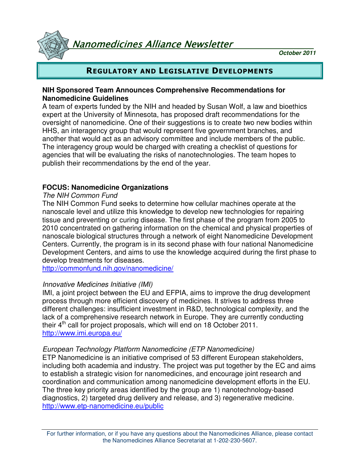Nanomedicines Alliance Newsletter

**October 2011**

## REGULATORY AND LEGISLATIVE DEVELOPMENTS

## **NIH Sponsored Team Announces Comprehensive Recommendations for Nanomedicine Guidelines**

A team of experts funded by the NIH and headed by Susan Wolf, a law and bioethics expert at the University of Minnesota, has proposed draft recommendations for the oversight of nanomedicine. One of their suggestions is to create two new bodies within HHS, an interagency group that would represent five government branches, and another that would act as an advisory committee and include members of the public. The interagency group would be charged with creating a checklist of questions for agencies that will be evaluating the risks of nanotechnologies. The team hopes to publish their recommendations by the end of the year.

## **FOCUS: Nanomedicine Organizations**

## The NIH Common Fund

The NIH Common Fund seeks to determine how cellular machines operate at the nanoscale level and utilize this knowledge to develop new technologies for repairing tissue and preventing or curing disease. The first phase of the program from 2005 to 2010 concentrated on gathering information on the chemical and physical properties of nanoscale biological structures through a network of eight Nanomedicine Development Centers. Currently, the program is in its second phase with four national Nanomedicine Development Centers, and aims to use the knowledge acquired during the first phase to develop treatments for diseases.

http://commonfund.nih.gov/nanomedicine/

## Innovative Medicines Initiative (IMI)

IMI, a joint project between the EU and EFPIA, aims to improve the drug development process through more efficient discovery of medicines. It strives to address three different challenges: insufficient investment in R&D, technological complexity, and the lack of a comprehensive research network in Europe. They are currently conducting their  $4<sup>th</sup>$  call for project proposals, which will end on 18 October 2011. http://www.imi.europa.eu/

## European Technology Platform Nanomedicine (ETP Nanomedicine)

ETP Nanomedicine is an initiative comprised of 53 different European stakeholders, including both academia and industry. The project was put together by the EC and aims to establish a strategic vision for nanomedicines, and encourage joint research and coordination and communication among nanomedicine development efforts in the EU. The three key priority areas identified by the group are 1) nanotechnology-based diagnostics, 2) targeted drug delivery and release, and 3) regenerative medicine. http://www.etp-nanomedicine.eu/public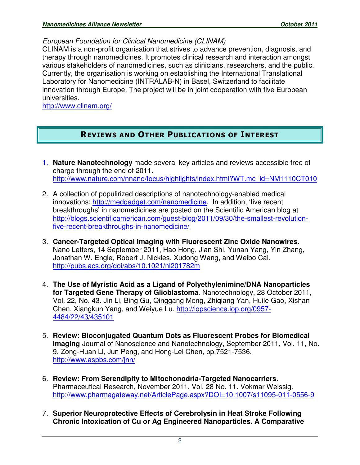European Foundation for Clinical Nanomedicine (CLINAM)

CLINAM is a non-profit organisation that strives to advance prevention, diagnosis, and therapy through nanomedicines. It promotes clinical research and interaction amongst various stakeholders of nanomedicines, such as clinicians, researchers, and the public. Currently, the organisation is working on establishing the International Translational Laboratory for Nanomedicine (INTRALAB-N) in Basel, Switzerland to facilitate innovation through Europe. The project will be in joint cooperation with five European universities.

http://www.clinam.org/

## REVIEWS AND OTHER PUBLICATIONS OF INTEREST

- 1. **Nature Nanotechnology** made several key articles and reviews accessible free of charge through the end of 2011. http://www.nature.com/nnano/focus/highlights/index.html?WT.mc\_id=NM1110CT010
- 2. A collection of populirized descriptions of nanotechnology-enabled medical innovations: http://medgadget.com/nanomedicine. In addition, 'five recent breakthroughs' in nanomedicines are posted on the Scientific American blog at http://blogs.scientificamerican.com/guest-blog/2011/09/30/the-smallest-revolutionfive-recent-breakthroughs-in-nanomedicine/
- 3. **Cancer-Targeted Optical Imaging with Fluorescent Zinc Oxide Nanowires.**  Nano Letters, 14 September 2011, Hao Hong, Jian Shi, Yunan Yang, Yin Zhang, Jonathan W. Engle, Robert J. Nickles, Xudong Wang, and Weibo Cai. http://pubs.acs.org/doi/abs/10.1021/nl201782m
- 4. **The Use of Myristic Acid as a Ligand of Polyethylenimine/DNA Nanoparticles for Targeted Gene Therapy of Glioblastoma**. Nanotechnology, 28 October 2011, Vol. 22, No. 43. Jin Li, Bing Gu, Qinggang Meng, Zhiqiang Yan, Huile Gao, Xishan Chen, Xiangkun Yang, and Weiyue Lu. http://iopscience.iop.org/0957- 4484/22/43/435101
- 5. **Review: Bioconjugated Quantum Dots as Fluorescent Probes for Biomedical Imaging** Journal of Nanoscience and Nanotechnology, September 2011, Vol. 11, No. 9. Zong-Huan Li, Jun Peng, and Hong-Lei Chen, pp.7521-7536. http://www.aspbs.com/jnn/
- 6. **Review: From Serendipity to Mitochonodria-Targeted Nanocarriers**. Pharmaceutical Research, November 2011, Vol. 28 No. 11. Vokmar Weissig. http://www.pharmagateway.net/ArticlePage.aspx?DOI=10.1007/s11095-011-0556-9
- 7. **Superior Neuroprotective Effects of Cerebrolysin in Heat Stroke Following Chronic Intoxication of Cu or Ag Engineered Nanoparticles. A Comparative**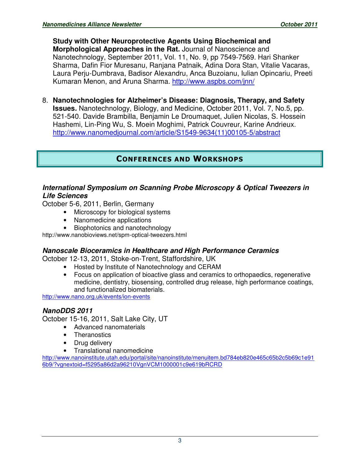**Study with Other Neuroprotective Agents Using Biochemical and Morphological Approaches in the Rat.** Journal of Nanoscience and Nanotechnology, September 2011, Vol. 11, No. 9, pp 7549-7569. Hari Shanker Sharma, Dafin Fior Muresanu, Ranjana Patnaik, Adina Dora Stan, Vitalie Vacaras, Laura Perju-Dumbrava, Badisor Alexandru, Anca Buzoianu, Iulian Opincariu, Preeti Kumaran Menon, and Aruna Sharma. http://www.aspbs.com/jnn/

8. **Nanotechnologies for Alzheimer's Disease: Diagnosis, Therapy, and Safety Issues.** Nanotechnology, Biology, and Medicine, October 2011, Vol. 7, No.5, pp. 521-540. Davide Brambilla, Benjamin Le Droumaquet, Julien Nicolas, S. Hossein Hashemi, Lin-Ping Wu, S. Moein Moghimi, Patrick Couvreur, Karine Andrieux. http://www.nanomedjournal.com/article/S1549-9634(11)00105-5/abstract

## CONFERENCES AND WORKSHOPS

## **International Symposium on Scanning Probe Microscopy & Optical Tweezers in Life Sciences**

October 5-6, 2011, Berlin, Germany

- Microscopy for biological systems
- Nanomedicine applications
- Biophotonics and nanotechnology

http://www.nanobioviews.net/spm-optical-tweezers.html

## **Nanoscale Bioceramics in Healthcare and High Performance Ceramics**

October 12-13, 2011, Stoke-on-Trent, Staffordshire, UK

- Hosted by Institute of Nanotechnology and CERAM
- Focus on application of bioactive glass and ceramics to orthopaedics, regenerative medicine, dentistry, biosensing, controlled drug release, high performance coatings, and functionalized biomaterials.

http://www.nano.org.uk/events/ion-events

## **NanoDDS 2011**

October 15-16, 2011, Salt Lake City, UT

- Advanced nanomaterials
- **Theranostics**
- Drug delivery
- Translational nanomedicine

http://www.nanoinstitute.utah.edu/portal/site/nanoinstitute/menuitem.bd784eb820e465c65b2c5b69c1e91 6b9/?vgnextoid=f5295a86d2a96210VgnVCM1000001c9e619bRCRD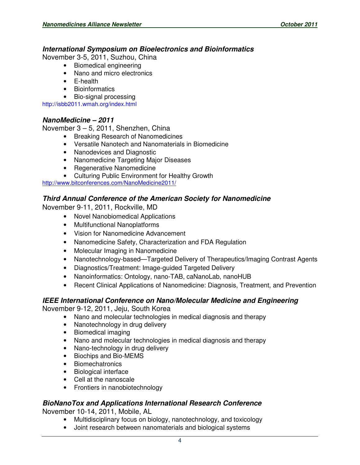#### **International Symposium on Bioelectronics and Bioinformatics**

November 3-5, 2011, Suzhou, China

- Biomedical engineering
- Nano and micro electronics
- E-health
- Bioinformatics
- Bio-signal processing

http://isbb2011.wmah.org/index.html

#### **NanoMedicine – 2011**

November 3 – 5, 2011, Shenzhen, China

- Breaking Research of Nanomedicines
- Versatile Nanotech and Nanomaterials in Biomedicine
- Nanodevices and Diagnostic
- Nanomedicine Targeting Major Diseases
- Regenerative Nanomedicine
- Culturing Public Environment for Healthy Growth

http://www.bitconferences.com/NanoMedicine2011/

## **Third Annual Conference of the American Society for Nanomedicine**

November 9-11, 2011, Rockville, MD

- Novel Nanobiomedical Applications
- Multifunctional Nanoplatforms
- Vision for Nanomedicine Advancement
- Nanomedicine Safety, Characterization and FDA Regulation
- Molecular Imaging in Nanomedicine
- Nanotechnology-based—Targeted Delivery of Therapeutics/Imaging Contrast Agents
- Diagnostics/Treatment: Image-guided Targeted Delivery
- Nanoinformatics: Ontology, nano-TAB, caNanoLab, nanoHUB
- Recent Clinical Applications of Nanomedicine: Diagnosis, Treatment, and Prevention

#### **IEEE International Conference on Nano/Molecular Medicine and Engineering**

November 9-12, 2011, Jeju, South Korea

- Nano and molecular technologies in medical diagnosis and therapy
- Nanotechnology in drug delivery
- Biomedical imaging
- Nano and molecular technologies in medical diagnosis and therapy
- Nano-technology in drug delivery
- Biochips and Bio-MEMS
- Biomechatronics
- Biological interface
- Cell at the nanoscale
- Frontiers in nanobiotechnology

#### **BioNanoTox and Applications International Research Conference**

November 10-14, 2011, Mobile, AL

- Multidisciplinary focus on biology, nanotechnology, and toxicology
- Joint research between nanomaterials and biological systems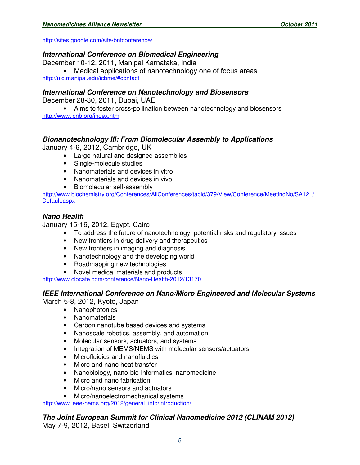http://sites.google.com/site/bntconference/

## **International Conference on Biomedical Engineering**

December 10-12, 2011, Manipal Karnataka, India

• Medical applications of nanotechnology one of focus areas http://uic.manipal.edu/icbme/#contact

**International Conference on Nanotechnology and Biosensors**

December 28-30, 2011, Dubai, UAE

• Aims to foster cross-pollination between nanotechnology and biosensors http://www.icnb.org/index.htm

## **Bionanotechnology III: From Biomolecular Assembly to Applications**

January 4-6, 2012, Cambridge, UK

- Large natural and designed assemblies
- Single-molecule studies
- Nanomaterials and devices in vitro
- Nanomaterials and devices in vivo
- Biomolecular self-assembly

http://www.biochemistry.org/Conferences/AllConferences/tabid/379/View/Conference/MeetingNo/SA121/ Default.aspx

## **Nano Health**

January 15-16, 2012, Egypt, Cairo

- To address the future of nanotechnology, potential risks and regulatory issues
- New frontiers in drug delivery and therapeutics
- New frontiers in imaging and diagnosis
- Nanotechnology and the developing world
- Roadmapping new technologies
- Novel medical materials and products

http://www.clocate.com/conference/Nano-Health-2012/13170

#### **IEEE International Conference on Nano/Micro Engineered and Molecular Systems**

March 5-8, 2012, Kyoto, Japan

- Nanophotonics
- Nanomaterials
- Carbon nanotube based devices and systems
- Nanoscale robotics, assembly, and automation
- Molecular sensors, actuators, and systems
- Integration of MEMS/NEMS with molecular sensors/actuators
- Microfluidics and nanofluidics
- Micro and nano heat transfer
- Nanobiology, nano-bio-informatics, nanomedicine
- Micro and nano fabrication
- Micro/nano sensors and actuators
- Micro/nanoelectromechanical systems

http://www.ieee-nems.org/2012/general\_info/introduction/

**The Joint European Summit for Clinical Nanomedicine 2012 (CLINAM 2012)** May 7-9, 2012, Basel, Switzerland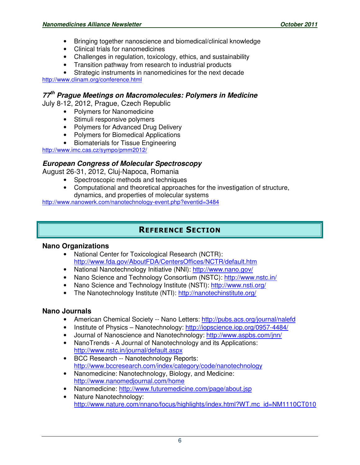- Bringing together nanoscience and biomedical/clinical knowledge
- Clinical trials for nanomedicines
- Challenges in regulation, toxicology, ethics, and sustainability
- Transition pathway from research to industrial products

Strategic instruments in nanomedicines for the next decade http://www.clinam.org/conference.html

# **77th Prague Meetings on Macromolecules: Polymers in Medicine**

July 8-12, 2012, Prague, Czech Republic

- Polymers for Nanomedicine
- Stimuli responsive polymers
- Polymers for Advanced Drug Delivery
- Polymers for Biomedical Applications
- Biomaterials for Tissue Engineering

http://www.imc.cas.cz/sympo/pmm2012/

## **European Congress of Molecular Spectroscopy**

August 26-31, 2012, Cluj-Napoca, Romania

- Spectroscopic methods and techniques
- Computational and theoretical approaches for the investigation of structure, dynamics, and properties of molecular systems

http://www.nanowerk.com/nanotechnology-event.php?eventid=3484

# REFERENCE SECTION

#### **Nano Organizations**

- National Center for Toxicological Research (NCTR): http://www.fda.gov/AboutFDA/CentersOffices/NCTR/default.htm
- National Nanotechnology Initiative (NNI): http://www.nano.gov/
- Nano Science and Technology Consortium (NSTC): http://www.nstc.in/
- Nano Science and Technology Institute (NSTI): http://www.nsti.org/
- The Nanotechnology Institute (NTI): http://nanotechinstitute.org/

#### **Nano Journals**

- American Chemical Society -- Nano Letters: http://pubs.acs.org/journal/nalefd
- Institute of Physics Nanotechnology: http://iopscience.iop.org/0957-4484/
- Journal of Nanoscience and Nanotechnology: http://www.aspbs.com/jnn/
- NanoTrends A Journal of Nanotechnology and its Applications: http://www.nstc.in/journal/default.aspx
- BCC Research -- Nanotechnology Reports: http://www.bccresearch.com/index/category/code/nanotechnology
- Nanomedicine: Nanotechnology, Biology, and Medicine: http://www.nanomedjournal.com/home
- Nanomedicine: http://www.futuremedicine.com/page/about.jsp
- Nature Nanotechnology: http://www.nature.com/nnano/focus/highlights/index.html?WT.mc\_id=NM1110CT010